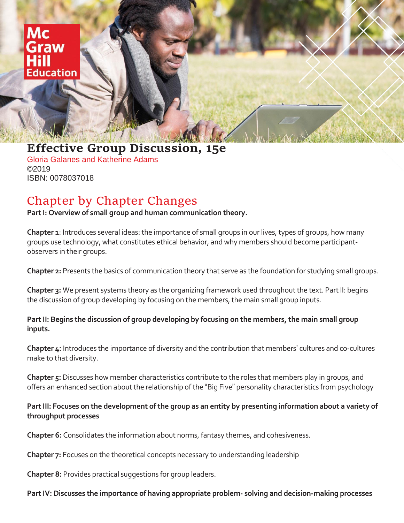'aw **lucation** 

## **Effective Group Discussion, 15e**

Gloria Galanes and Katherine Adams ©2019 ISBN: 0078037018

# Chapter by Chapter Changes

**Part I: Overview of small group and human communication theory.**

**Chapter 1**: Introduces several ideas: the importance of small groups in our lives, types of groups, how many groups use technology, what constitutes ethical behavior, and why members should become participantobservers in their groups.

**Chapter 2:** Presents the basics of communication theory that serve as the foundation for studying small groups.

**Chapter 3:** We present systems theory as the organizing framework used throughout the text. Part II: begins the discussion of group developing by focusing on the members, the main small group inputs.

**Part II: Begins the discussion of group developing by focusing on the members, the main small group inputs.**

**Chapter 4:** Introduces the importance of diversity and the contribution that members' cultures and co-cultures make to that diversity.

**Chapter 5:** Discusses how member characteristics contribute to the roles that members play in groups, and offers an enhanced section about the relationship of the "Big Five" personality characteristics from psychology

#### **Part III: Focuses on the development of the group as an entity by presenting information about a variety of throughput processes**

**Chapter 6:** Consolidates the information about norms, fantasy themes, and cohesiveness.

**Chapter 7:** Focuses on the theoretical concepts necessary to understanding leadership

**Chapter 8:** Provides practical suggestions for group leaders.

#### **Part IV: Discusses the importance of having appropriate problem- solving and decision-making processes**